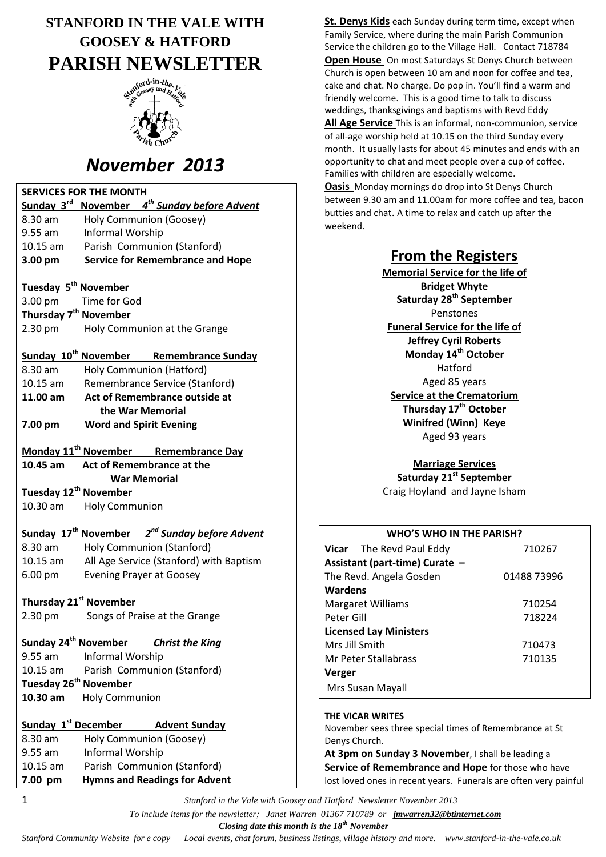# **STANFORD IN THE VALE WITH GOOSEY & HATFORD PARISH NEWSLETTER**



# *November 2013*

| <b>SERVICES FOR THE MONTH</b>                                         |                                                            |  |
|-----------------------------------------------------------------------|------------------------------------------------------------|--|
| Sunday 3rd<br>November 4 <sup>th</sup> Sunday before Advent           |                                                            |  |
| 8.30 am                                                               | Holy Communion (Goosey)                                    |  |
| $9.55$ am                                                             | Informal Worship                                           |  |
| $10.15$ am                                                            | Parish Communion (Stanford)                                |  |
| 3.00 pm                                                               | <b>Service for Remembrance and Hope</b>                    |  |
|                                                                       |                                                            |  |
| Tuesday 5 <sup>th</sup> November                                      |                                                            |  |
| 3.00 pm                                                               | Time for God                                               |  |
| Thursday 7 <sup>th</sup> November                                     |                                                            |  |
| 2.30 pm                                                               | Holy Communion at the Grange                               |  |
|                                                                       |                                                            |  |
|                                                                       | Sunday 10 <sup>th</sup> November Remembrance Sunday        |  |
| 8.30 am                                                               | Holy Communion (Hatford)                                   |  |
| $10.15$ am                                                            | Remembrance Service (Stanford)                             |  |
| Act of Remembrance outside at<br>11.00 am                             |                                                            |  |
| the War Memorial                                                      |                                                            |  |
| 7.00 pm                                                               | <b>Word and Spirit Evening</b>                             |  |
| Monday 11 <sup>th</sup> November Remembrance Day                      |                                                            |  |
| 10.45 am                                                              | Act of Remembrance at the                                  |  |
| <b>War Memorial</b>                                                   |                                                            |  |
| Tuesday 12 <sup>th</sup> November                                     |                                                            |  |
| 10.30 am                                                              | <b>Holy Communion</b>                                      |  |
|                                                                       |                                                            |  |
| Sunday 17 <sup>th</sup> November 2 <sup>nd</sup> Sunday before Advent |                                                            |  |
| $8.30$ am                                                             | Holy Communion (Stanford)                                  |  |
| $10.15$ am                                                            | All Age Service (Stanford) with Baptism                    |  |
| 6.00 pm                                                               | <b>Evening Prayer at Goosey</b>                            |  |
|                                                                       |                                                            |  |
| Thursday 21 <sup>st</sup> November                                    |                                                            |  |
| 2.30 pm                                                               | Songs of Praise at the Grange                              |  |
|                                                                       |                                                            |  |
|                                                                       | Sunday 24 <sup>th</sup> November<br><b>Christ the King</b> |  |
| $9.55$ am                                                             | Informal Worship                                           |  |
| 10.15 am                                                              | Parish Communion (Stanford)                                |  |
| Tuesday 26 <sup>th</sup> November                                     |                                                            |  |
| 10.30 am                                                              | <b>Holy Communion</b>                                      |  |
|                                                                       |                                                            |  |
| Sunday 1 <sup>st</sup> December                                       | <b>Advent Sunday</b>                                       |  |
| 8.30 am                                                               | Holy Communion (Goosey)                                    |  |
| $9.55$ am                                                             | Informal Worship                                           |  |
| $10.15$ am                                                            | Parish Communion (Stanford)                                |  |
| 7.00 pm                                                               | <b>Hymns and Readings for Advent</b>                       |  |
| 1                                                                     | Stanford in the Vale with                                  |  |

**St. Denys Kids** each Sunday during term time, except when Family Service, where during the main Parish Communion Service the children go to the Village Hall. Contact 718784 **Open House** On most Saturdays St Denys Church between Church is open between 10 am and noon for coffee and tea, cake and chat. No charge. Do pop in. You'll find a warm and friendly welcome. This is a good time to talk to discuss weddings, thanksgivings and baptisms with Revd Eddy **All Age Service** This is an informal, non-communion, service of all-age worship held at 10.15 on the third Sunday every month. It usually lasts for about 45 minutes and ends with an opportunity to chat and meet people over a cup of coffee. Families with children are especially welcome. **Oasis** Monday mornings do drop into St Denys Church between 9.30 am and 11.00am for more coffee and tea, bacon butties and chat. A time to relax and catch up after the

### **From the Registers**

**Memorial Service for the life of Bridget Whyte Saturday 28th September** Penstones **Funeral Service for the life of Jeffrey Cyril Roberts Monday 14th October** Hatford Aged 85 years **Service at the Crematorium Thursday 17th October Winifred (Winn) Keye** Aged 93 years

**Marriage Services Saturday 21st September** Craig Hoyland and Jayne Isham

#### **WHO'S WHO IN THE PARISH?**

| Vicar The Revd Paul Eddy       | 710267      |  |
|--------------------------------|-------------|--|
| Assistant (part-time) Curate - |             |  |
| The Revd. Angela Gosden        | 01488 73996 |  |
| Wardens                        |             |  |
| <b>Margaret Williams</b>       | 710254      |  |
| Peter Gill                     | 718224      |  |
| <b>Licensed Lay Ministers</b>  |             |  |
| Mrs Jill Smith                 | 710473      |  |
| Mr Peter Stallabrass           | 710135      |  |
| Verger                         |             |  |
| Mrs Susan Mayall               |             |  |

#### **THE VICAR WRITES**

weekend.

November sees three special times of Remembrance at St Denys Church.

**At 3pm on Sunday 3 November**, I shall be leading a **Service of Remembrance and Hope** for those who have lost loved ones in recent years. Funerals are often very painful

1 *Stanford in the Vale with Goosey and Hatford Newsletter November 2013*

 *To include items for the newsletter; Janet Warren 01367 710789 or jmwarren32@btinternet.com*

 *Closing date this month is the 18th November*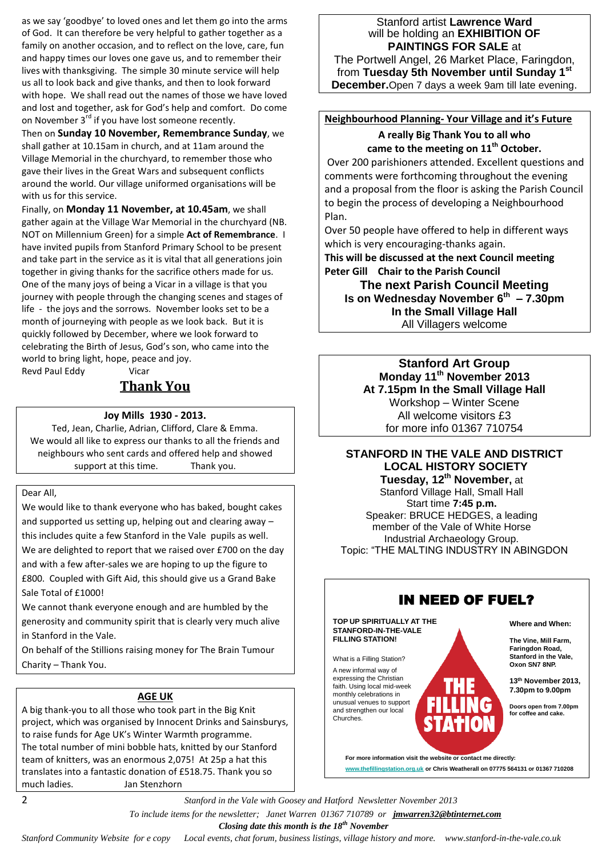as we say 'goodbye' to loved ones and let them go into the arms of God. It can therefore be very helpful to gather together as a family on another occasion, and to reflect on the love, care, fun and happy times our loves one gave us, and to remember their lives with thanksgiving. The simple 30 minute service will help us all to look back and give thanks, and then to look forward with hope. We shall read out the names of those we have loved and lost and together, ask for God's help and comfort. Do come on November 3<sup>rd</sup> if you have lost someone recently.

Then on **Sunday 10 November, Remembrance Sunday**, we shall gather at 10.15am in church, and at 11am around the Village Memorial in the churchyard, to remember those who gave their lives in the Great Wars and subsequent conflicts around the world. Our village uniformed organisations will be with us for this service.

Finally, on **Monday 11 November, at 10.45am**, we shall gather again at the Village War Memorial in the churchyard (NB. NOT on Millennium Green) for a simple **Act of Remembrance**. I have invited pupils from Stanford Primary School to be present and take part in the service as it is vital that all generations join together in giving thanks for the sacrifice others made for us. One of the many joys of being a Vicar in a village is that you journey with people through the changing scenes and stages of life - the joys and the sorrows. November looks set to be a month of journeying with people as we look back. But it is quickly followed by December, where we look forward to celebrating the Birth of Jesus, God's son, who came into the world to bring light, hope, peace and joy. Revd Paul Eddy Vicar

## **Thank You**

#### **Joy Mills 1930 - 2013.**

Ted, Jean, Charlie, Adrian, Clifford, Clare & Emma. We would all like to express our thanks to all the friends and neighbours who sent cards and offered help and showed support at this time. Thank you.

#### Dear All,

We would like to thank everyone who has baked, bought cakes and supported us setting up, helping out and clearing away – this includes quite a few Stanford in the Vale pupils as well. We are delighted to report that we raised over £700 on the day and with a few after-sales we are hoping to up the figure to £800. Coupled with Gift Aid, this should give us a Grand Bake Sale Total of £1000!

We cannot thank everyone enough and are humbled by the generosity and community spirit that is clearly very much alive in Stanford in the Vale.

On behalf of the Stillions raising money for The Brain Tumour Charity – Thank You.

#### **AGE UK**

A big thank-you to all those who took part in the Big Knit project, which was organised by Innocent Drinks and Sainsburys, to raise funds for Age UK's Winter Warmth programme. The total number of mini bobble hats, knitted by our Stanford team of knitters, was an enormous 2,075! At 25p a hat this translates into a fantastic donation of £518.75. Thank you so much ladies. Jan Stenzhorn

### Stanford artist **Lawrence Ward** will be holding an **EXHIBITION OF PAINTINGS FOR SALE** at The Portwell Angel, 26 Market Place, Faringdon,

from **Tuesday 5th November until Sunday 1st December.**Open 7 days a week 9am till late evening.

### **Neighbourhood Planning- Your Village and it's Future A really Big Thank You to all who**

**came to the meeting on 11th October.**

Over 200 parishioners attended. Excellent questions and comments were forthcoming throughout the evening and a proposal from the floor is asking the Parish Council to begin the process of developing a Neighbourhood Plan.

Over 50 people have offered to help in different ways which is very encouraging-thanks again.

**This will be discussed at the next Council meeting Peter Gill Chair to the Parish Council**

**The next Parish Council Meeting Is on Wednesday November 6th – 7.30pm In the Small Village Hall** All Villagers welcome

> **Stanford Art Group Monday 11th November 2013 At 7.15pm In the Small Village Hall** Workshop – Winter Scene All welcome visitors £3 for more info 01367 710754

#### **STANFORD IN THE VALE AND DISTRICT LOCAL HISTORY SOCIETY Tuesday, 12th November,** at

Stanford Village Hall, Small Hall Start time **7:45 p.m.** Speaker: BRUCE HEDGES, a leading member of the Vale of White Horse Industrial Archaeology Group. Topic: "THE MALTING INDUSTRY IN ABINGDON



**www.thefillingstation.org.uk or Chris Weatherall on 07775 564131 or 01367 710208** 

2 *Stanford in the Vale with Goosey and Hatford Newsletter November 2013*

 *To include items for the newsletter; Janet Warren 01367 710789 or jmwarren32@btinternet.com*

 *Closing date this month is the 18th November*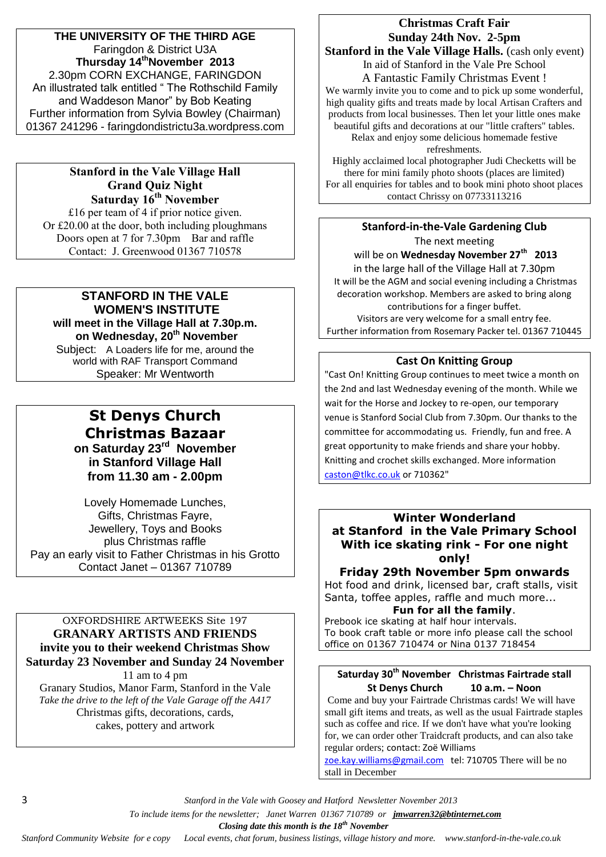**THE UNIVERSITY OF THE THIRD AGE** Faringdon & District U3A **Thursday 14thNovember 2013** 2.30pm CORN EXCHANGE, FARINGDON An illustrated talk entitled " The Rothschild Family and Waddeson Manor" by Bob Keating Further information from Sylvia Bowley (Chairman) 01367 241296 - faringdondistrictu3a.wordpress.com

### **Stanford in the Vale Village Hall Grand Quiz Night Saturday 16th November**

£16 per team of 4 if prior notice given. Or £20.00 at the door, both including ploughmans Doors open at 7 for 7.30pm Bar and raffle Contact: J. Greenwood 01367 710578

### **STANFORD IN THE VALE WOMEN'S INSTITUTE will meet in the Village Hall at 7.30p.m.**

**on Wednesday, 20th November** Subject: A Loaders life for me, around the world with RAF Transport Command Speaker: Mr Wentworth

### **St Denys Church Christmas Bazaar on Saturday 23rd November in Stanford Village Hall from 11.30 am - 2.00pm**

Lovely Homemade Lunches, Gifts, Christmas Fayre, Jewellery, Toys and Books plus Christmas raffle Pay an early visit to Father Christmas in his Grotto Contact Janet – 01367 710789

### OXFORDSHIRE ARTWEEKS Site 197 **GRANARY ARTISTS AND FRIENDS invite you to their weekend Christmas Show Saturday 23 November and Sunday 24 November** 11 am to 4 pm

Granary Studios, Manor Farm, Stanford in the Vale *Take the drive to the left of the Vale Garage off the A417* Christmas gifts, decorations, cards, cakes, pottery and artwork

# **Christmas Craft Fair Sunday 24th Nov. 2-5pm Stanford in the Vale Village Halls.** (cash only event)

In aid of Stanford in the Vale Pre School A Fantastic Family Christmas Event ! We warmly invite you to come and to pick up some wonderful, high quality gifts and treats made by local Artisan Crafters and products from local businesses. Then let your little ones make beautiful gifts and decorations at our "little crafters" tables. Relax and enjoy some delicious homemade festive refreshments.

Highly acclaimed local photographer Judi Checketts will be there for mini family photo shoots (places are limited) For all enquiries for tables and to book mini photo shoot places contact Chrissy on 07733113216

### **Stanford-in-the-Vale Gardening Club** The next meeting

will be on **Wednesday November 27th 2013** in the large hall of the Village Hall at 7.30pm It will be the AGM and social evening including a Christmas decoration workshop. Members are asked to bring along contributions for a finger buffet. Visitors are very welcome for a small entry fee. Further information from Rosemary Packer tel. 01367 710445

### **Cast On Knitting Group**

"Cast On! Knitting Group continues to meet twice a month on the 2nd and last Wednesday evening of the month. While we wait for the Horse and Jockey to re-open, our temporary venue is Stanford Social Club from 7.30pm. Our thanks to the committee for accommodating us. Friendly, fun and free. A great opportunity to make friends and share your hobby. Knitting and crochet skills exchanged. More information [caston@tlkc.co.uk](mailto:caston@tlkc.co.uk) or 710362"

### **Winter Wonderland at Stanford in the Vale Primary School With ice skating rink - For one night only!**

### **Friday 29th November 5pm onwards**

Hot food and drink, licensed bar, craft stalls, visit Santa, toffee apples, raffle and much more...

### **Fun for all the family**.

Prebook ice skating at half hour intervals. To book craft table or more info please call the school office on 01367 710474 or Nina 0137 718454

### **Saturday 30th November Christmas Fairtrade stall St Denys Church 10 a.m. – Noon**

Come and buy your Fairtrade Christmas cards! We will have small gift items and treats, as well as the usual Fairtrade staples such as coffee and rice. If we don't have what you're looking for, we can order other Traidcraft products, and can also take regular orders; contact: Zoë Williams

[zoe.kay.williams@gmail.com](mailto:zoe.kay.williams@gmail.com) tel: 710705 There will be no stall in December

3 *Stanford in the Vale with Goosey and Hatford Newsletter November 2013*

 *To include items for the newsletter; Janet Warren 01367 710789 or jmwarren32@btinternet.com*

 *Closing date this month is the 18th November*